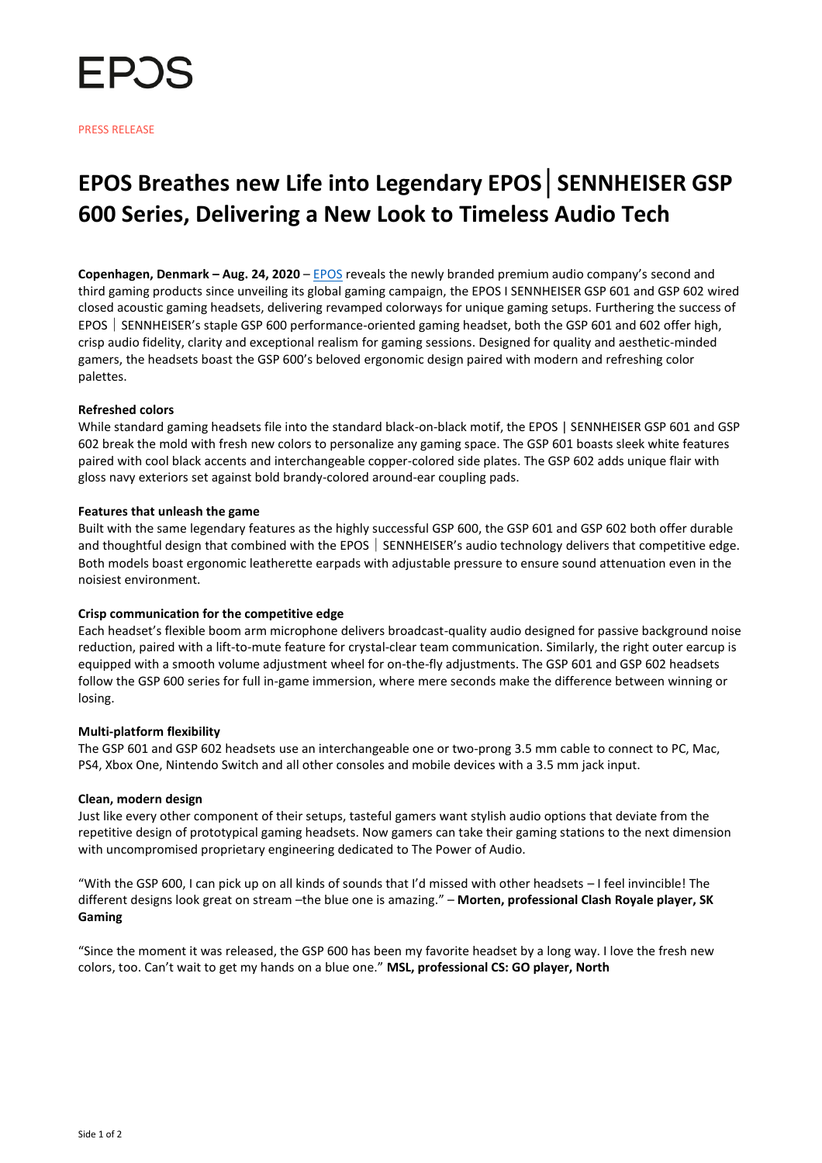

# **EPOS Breathes new Life into Legendary EPOS│SENNHEISER GSP 600 Series, Delivering a New Look to Timeless Audio Tech**

**Copenhagen, Denmark – Aug. 24, 2020** – [EPOS](https://www.eposaudio.com/en/us/gaming) reveals the newly branded premium audio company's second and third gaming products since unveiling its global gaming campaign, the EPOS I SENNHEISER GSP 601 and GSP 602 wired closed acoustic gaming headsets, delivering revamped colorways for unique gaming setups. Furthering the success of EPOS SENNHEISER's staple GSP 600 performance-oriented gaming headset, both the GSP 601 and 602 offer high, crisp audio fidelity, clarity and exceptional realism for gaming sessions. Designed for quality and aesthetic-minded gamers, the headsets boast the GSP 600's beloved ergonomic design paired with modern and refreshing color palettes.

## **Refreshed colors**

While standard gaming headsets file into the standard black-on-black motif, the EPOS | SENNHEISER GSP 601 and GSP 602 break the mold with fresh new colors to personalize any gaming space. The GSP 601 boasts sleek white features paired with cool black accents and interchangeable copper-colored side plates. The GSP 602 adds unique flair with gloss navy exteriors set against bold brandy-colored around-ear coupling pads.

### **Features that unleash the game**

Built with the same legendary features as the highly successful GSP 600, the GSP 601 and GSP 602 both offer durable and thoughtful design that combined with the EPOS SENNHEISER's audio technology delivers that competitive edge. Both models boast ergonomic leatherette earpads with adjustable pressure to ensure sound attenuation even in the noisiest environment.

#### **Crisp communication for the competitive edge**

Each headset's flexible boom arm microphone delivers broadcast-quality audio designed for passive background noise reduction, paired with a lift-to-mute feature for crystal-clear team communication. Similarly, the right outer earcup is equipped with a smooth volume adjustment wheel for on-the-fly adjustments. The GSP 601 and GSP 602 headsets follow the GSP 600 series for full in-game immersion, where mere seconds make the difference between winning or losing.

#### **Multi-platform flexibility**

The GSP 601 and GSP 602 headsets use an interchangeable one or two-prong 3.5 mm cable to connect to PC, Mac, PS4, Xbox One, Nintendo Switch and all other consoles and mobile devices with a 3.5 mm jack input.

#### **Clean, modern design**

Just like every other component of their setups, tasteful gamers want stylish audio options that deviate from the repetitive design of prototypical gaming headsets. Now gamers can take their gaming stations to the next dimension with uncompromised proprietary engineering dedicated to The Power of Audio.

"With the GSP 600, I can pick up on all kinds of sounds that I'd missed with other headsets – I feel invincible! The different designs look great on stream –the blue one is amazing." – **Morten, professional Clash Royale player, SK Gaming**

"Since the moment it was released, the GSP 600 has been my favorite headset by a long way. I love the fresh new colors, too. Can't wait to get my hands on a blue one." **MSL, professional CS: GO player, North**